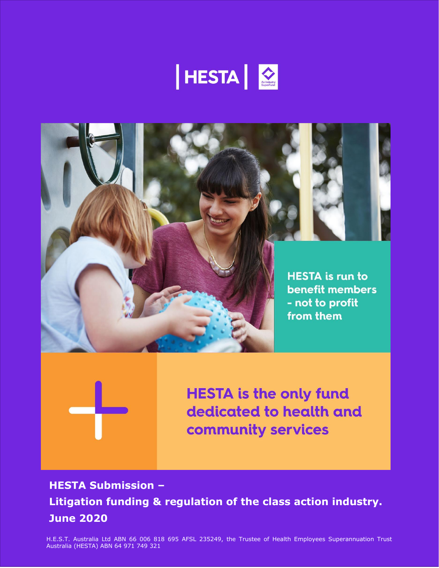





**HESTA is the only fund** dedicated to health and community services

**HESTA Submission – Litigation funding & regulation of the class action industry. June 2020**

H.E.S.T. Australia Ltd ABN 66 006 818 695 AFSL 235249, the Trustee of Health Employees Superannuation Trust Australia (HESTA) ABN 64 971 749 321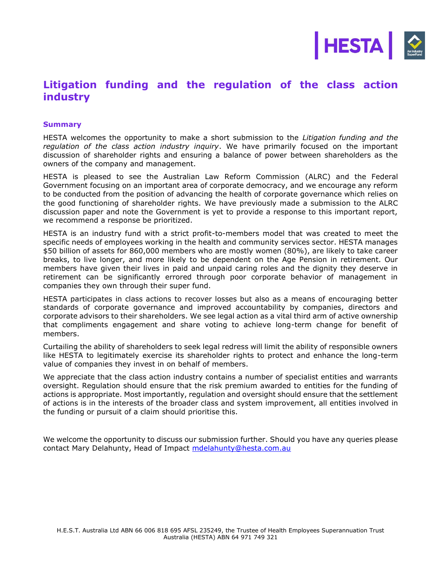

# **Litigation funding and the regulation of the class action industry**

#### **Summary**

HESTA welcomes the opportunity to make a short submission to the *Litigation funding and the regulation of the class action industry inquiry*. We have primarily focused on the important discussion of shareholder rights and ensuring a balance of power between shareholders as the owners of the company and management.

HESTA is pleased to see the Australian Law Reform Commission (ALRC) and the Federal Government focusing on an important area of corporate democracy, and we encourage any reform to be conducted from the position of advancing the health of corporate governance which relies on the good functioning of shareholder rights. We have previously made a submission to the ALRC discussion paper and note the Government is yet to provide a response to this important report, we recommend a response be prioritized.

HESTA is an industry fund with a strict profit-to-members model that was created to meet the specific needs of employees working in the health and community services sector. HESTA manages \$50 billion of assets for 860,000 members who are mostly women (80%), are likely to take career breaks, to live longer, and more likely to be dependent on the Age Pension in retirement. Our members have given their lives in paid and unpaid caring roles and the dignity they deserve in retirement can be significantly errored through poor corporate behavior of management in companies they own through their super fund.

HESTA participates in class actions to recover losses but also as a means of encouraging better standards of corporate governance and improved accountability by companies, directors and corporate advisors to their shareholders. We see legal action as a vital third arm of active ownership that compliments engagement and share voting to achieve long-term change for benefit of members.

Curtailing the ability of shareholders to seek legal redress will limit the ability of responsible owners like HESTA to legitimately exercise its shareholder rights to protect and enhance the long-term value of companies they invest in on behalf of members.

We appreciate that the class action industry contains a number of specialist entities and warrants oversight. Regulation should ensure that the risk premium awarded to entities for the funding of actions is appropriate. Most importantly, regulation and oversight should ensure that the settlement of actions is in the interests of the broader class and system improvement, all entities involved in the funding or pursuit of a claim should prioritise this.

We welcome the opportunity to discuss our submission further. Should you have any queries please contact Mary Delahunty, Head of Impact [mdelahunty@hesta.com.au](mailto:mdelahunty@hesta.com.au)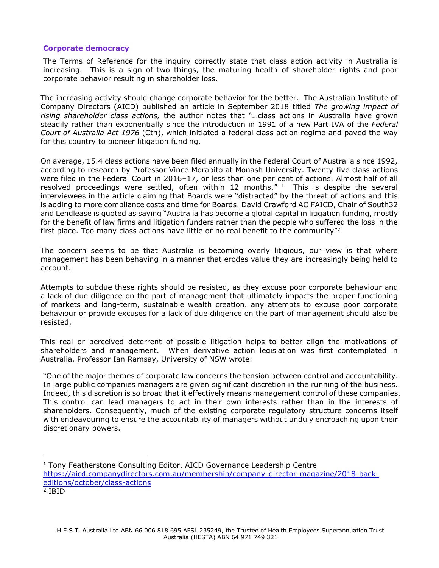## **Corporate democracy**

The Terms of Reference for the inquiry correctly state that class action activity in Australia is increasing. This is a sign of two things, the maturing health of shareholder rights and poor corporate behavior resulting in shareholder loss.

The increasing activity should change corporate behavior for the better. The Australian Institute of Company Directors (AICD) published an article in September 2018 titled *The growing impact of rising shareholder class actions,* the author notes that "…class actions in Australia have grown steadily rather than exponentially since the introduction in 1991 of a new Part IVA of the *Federal Court of Australia Act 1976* (Cth), which initiated a federal class action regime and paved the way for this country to pioneer litigation funding.

On average, 15.4 class actions have been filed annually in the Federal Court of Australia since 1992, according to research by Professor Vince Morabito at Monash University. Twenty-five class actions were filed in the Federal Court in 2016–17, or less than one per cent of actions. Almost half of all resolved proceedings were settled, often within 12 months."  $1$  This is despite the several interviewees in the article claiming that Boards were "distracted" by the threat of actions and this is adding to more compliance costs and time for Boards. David Crawford AO FAICD, Chair of South32 and Lendlease is quoted as saying "Australia has become a global capital in litigation funding, mostly for the benefit of law firms and litigation funders rather than the people who suffered the loss in the first place. Too many class actions have little or no real benefit to the community"<sup>2</sup>

The concern seems to be that Australia is becoming overly litigious, our view is that where management has been behaving in a manner that erodes value they are increasingly being held to account.

Attempts to subdue these rights should be resisted, as they excuse poor corporate behaviour and a lack of due diligence on the part of management that ultimately impacts the proper functioning of markets and long-term, sustainable wealth creation. any attempts to excuse poor corporate behaviour or provide excuses for a lack of due diligence on the part of management should also be resisted.

This real or perceived deterrent of possible litigation helps to better align the motivations of shareholders and management. When derivative action legislation was first contemplated in Australia, Professor Ian Ramsay, University of NSW wrote:

"One of the major themes of corporate law concerns the tension between control and accountability. In large public companies managers are given significant discretion in the running of the business. Indeed, this discretion is so broad that it effectively means management control of these companies. This control can lead managers to act in their own interests rather than in the interests of shareholders. Consequently, much of the existing corporate regulatory structure concerns itself with endeavouring to ensure the accountability of managers without unduly encroaching upon their discretionary powers.

- <sup>1</sup> Tony Featherstone Consulting Editor, AICD Governance Leadership Centre [https://aicd.companydirectors.com.au/membership/company-director-magazine/2018-back](https://aicd.companydirectors.com.au/membership/company-director-magazine/2018-back-editions/october/class-actions)[editions/october/class-actions](https://aicd.companydirectors.com.au/membership/company-director-magazine/2018-back-editions/october/class-actions)
- 2 IBID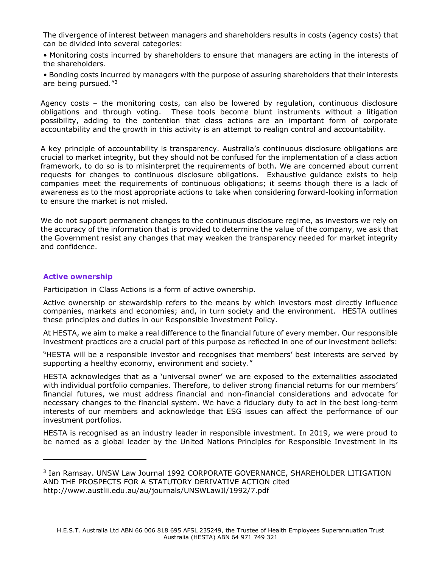The divergence of interest between managers and shareholders results in costs (agency costs) that can be divided into several categories:

• Monitoring costs incurred by shareholders to ensure that managers are acting in the interests of the shareholders.

• Bonding costs incurred by managers with the purpose of assuring shareholders that their interests are being pursued."<sup>3</sup>

Agency costs – the monitoring costs, can also be lowered by regulation, continuous disclosure obligations and through voting. These tools become blunt instruments without a litigation possibility, adding to the contention that class actions are an important form of corporate accountability and the growth in this activity is an attempt to realign control and accountability.

A key principle of accountability is transparency. Australia's continuous disclosure obligations are crucial to market integrity, but they should not be confused for the implementation of a class action framework, to do so is to misinterpret the requirements of both. We are concerned about current requests for changes to continuous disclosure obligations. Exhaustive guidance exists to help companies meet the requirements of continuous obligations; it seems though there is a lack of awareness as to the most appropriate actions to take when considering forward-looking information to ensure the market is not misled.

We do not support permanent changes to the continuous disclosure regime, as investors we rely on the accuracy of the information that is provided to determine the value of the company, we ask that the Government resist any changes that may weaken the transparency needed for market integrity and confidence.

## **Active ownership**

Participation in Class Actions is a form of active ownership.

Active ownership or stewardship refers to the means by which investors most directly influence companies, markets and economies; and, in turn society and the environment. HESTA outlines these principles and duties in our Responsible Investment Policy.

At HESTA, we aim to make a real difference to the financial future of every member. Our responsible investment practices are a crucial part of this purpose as reflected in one of our investment beliefs:

"HESTA will be a responsible investor and recognises that members' best interests are served by supporting a healthy economy, environment and society."

HESTA acknowledges that as a 'universal owner' we are exposed to the externalities associated with individual portfolio companies. Therefore, to deliver strong financial returns for our members' financial futures, we must address financial and non-financial considerations and advocate for necessary changes to the financial system. We have a fiduciary duty to act in the best long-term interests of our members and acknowledge that ESG issues can affect the performance of our investment portfolios.

HESTA is recognised as an industry leader in responsible investment. In 2019, we were proud to be named as a global leader by the United Nations Principles for Responsible Investment in its

<sup>3</sup> Ian Ramsay. UNSW Law Journal 1992 CORPORATE GOVERNANCE, SHAREHOLDER LITIGATION AND THE PROSPECTS FOR A STATUTORY DERIVATIVE ACTION cited http://www.austlii.edu.au/au/journals/UNSWLawJl/1992/7.pdf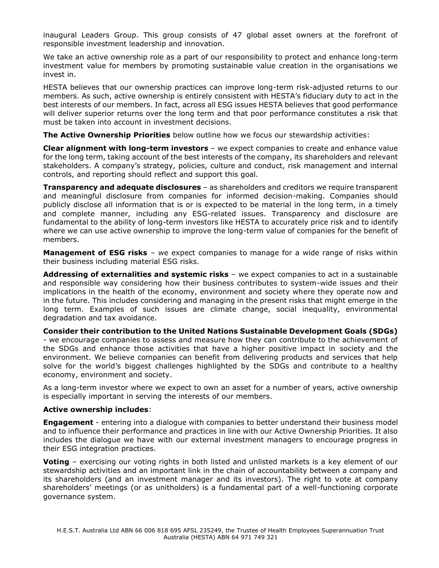inaugural Leaders Group. This group consists of 47 global asset owners at the forefront of responsible investment leadership and innovation.

We take an active ownership role as a part of our responsibility to protect and enhance long-term investment value for members by promoting sustainable value creation in the organisations we invest in.

HESTA believes that our ownership practices can improve long-term risk-adjusted returns to our members. As such, active ownership is entirely consistent with HESTA's fiduciary duty to act in the best interests of our members. In fact, across all ESG issues HESTA believes that good performance will deliver superior returns over the long term and that poor performance constitutes a risk that must be taken into account in investment decisions.

**The Active Ownership Priorities** below outline how we focus our stewardship activities:

**Clear alignment with long-term investors** – we expect companies to create and enhance value for the long term, taking account of the best interests of the company, its shareholders and relevant stakeholders. A company's strategy, policies, culture and conduct, risk management and internal controls, and reporting should reflect and support this goal.

**Transparency and adequate disclosures** – as shareholders and creditors we require transparent and meaningful disclosure from companies for informed decision-making. Companies should publicly disclose all information that is or is expected to be material in the long term, in a timely and complete manner, including any ESG-related issues. Transparency and disclosure are fundamental to the ability of long-term investors like HESTA to accurately price risk and to identify where we can use active ownership to improve the long-term value of companies for the benefit of members.

**Management of ESG risks** – we expect companies to manage for a wide range of risks within their business including material ESG risks.

**Addressing of externalities and systemic risks** – we expect companies to act in a sustainable and responsible way considering how their business contributes to system-wide issues and their implications in the health of the economy, environment and society where they operate now and in the future. This includes considering and managing in the present risks that might emerge in the long term. Examples of such issues are climate change, social inequality, environmental degradation and tax avoidance.

**Consider their contribution to the United Nations Sustainable Development Goals (SDGs)** - we encourage companies to assess and measure how they can contribute to the achievement of the SDGs and enhance those activities that have a higher positive impact in society and the environment. We believe companies can benefit from delivering products and services that help solve for the world's biggest challenges highlighted by the SDGs and contribute to a healthy economy, environment and society.

As a long-term investor where we expect to own an asset for a number of years, active ownership is especially important in serving the interests of our members.

## **Active ownership includes**:

**Engagement** - entering into a dialogue with companies to better understand their business model and to influence their performance and practices in line with our Active Ownership Priorities. It also includes the dialogue we have with our external investment managers to encourage progress in their ESG integration practices.

**Voting** – exercising our voting rights in both listed and unlisted markets is a key element of our stewardship activities and an important link in the chain of accountability between a company and its shareholders (and an investment manager and its investors). The right to vote at company shareholders' meetings (or as unitholders) is a fundamental part of a well-functioning corporate governance system.